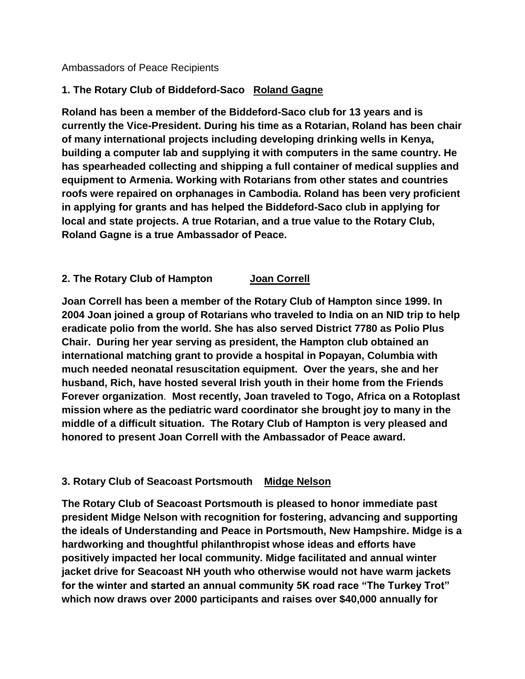Ambassadors of Peace Recipients

# **1. The Rotary Club of Biddeford-Saco Roland Gagne**

**Roland has been a member of the Biddeford-Saco club for 13 years and is currently the Vice-President. During his time as a Rotarian, Roland has been chair of many international projects including developing drinking wells in Kenya, building a computer lab and supplying it with computers in the same country. He has spearheaded collecting and shipping a full container of medical supplies and equipment to Armenia. Working with Rotarians from other states and countries roofs were repaired on orphanages in Cambodia. Roland has been very proficient in applying for grants and has helped the Biddeford-Saco club in applying for local and state projects. A true Rotarian, and a true value to the Rotary Club, Roland Gagne is a true Ambassador of Peace.**

## **2. The Rotary Club of Hampton Joan Correll**

**Joan Correll has been a member of the Rotary Club of Hampton since 1999. In 2004 Joan joined a group of Rotarians who traveled to India on an NID trip to help eradicate polio from the world. She has also served District 7780 as Polio Plus Chair. During her year serving as president, the Hampton club obtained an international matching grant to provide a hospital in Popayan, Columbia with much needed neonatal resuscitation equipment. Over the years, she and her husband, Rich, have hosted several Irish youth in their home from the Friends Forever organization**. **Most recently, Joan traveled to Togo, Africa on a Rotoplast mission where as the pediatric ward coordinator she brought joy to many in the middle of a difficult situation. The Rotary Club of Hampton is very pleased and honored to present Joan Correll with the Ambassador of Peace award.**

### **3. Rotary Club of Seacoast Portsmouth Midge Nelson**

**The Rotary Club of Seacoast Portsmouth is pleased to honor immediate past president Midge Nelson with recognition for fostering, advancing and supporting the ideals of Understanding and Peace in Portsmouth, New Hampshire. Midge is a hardworking and thoughtful philanthropist whose ideas and efforts have positively impacted her local community. Midge facilitated and annual winter jacket drive for Seacoast NH youth who otherwise would not have warm jackets for the winter and started an annual community 5K road race "The Turkey Trot" which now draws over 2000 participants and raises over \$40,000 annually for**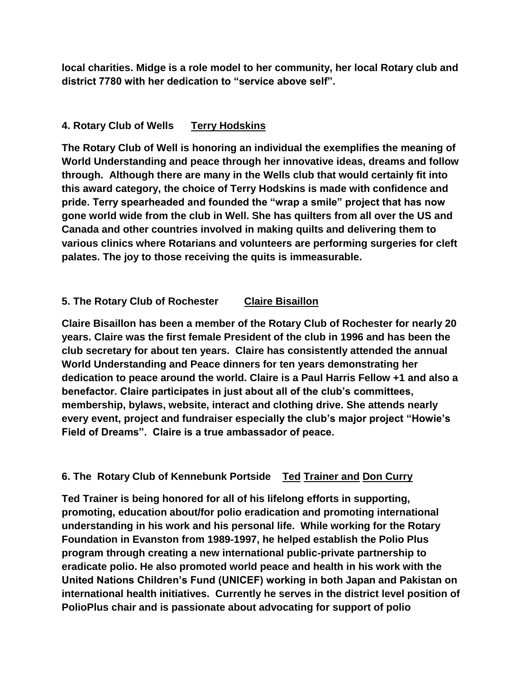**local charities. Midge is a role model to her community, her local Rotary club and district 7780 with her dedication to "service above self".**

### **4. Rotary Club of Wells Terry Hodskins**

**The Rotary Club of Well is honoring an individual the exemplifies the meaning of World Understanding and peace through her innovative ideas, dreams and follow through. Although there are many in the Wells club that would certainly fit into this award category, the choice of Terry Hodskins is made with confidence and pride. Terry spearheaded and founded the "wrap a smile" project that has now gone world wide from the club in Well. She has quilters from all over the US and Canada and other countries involved in making quilts and delivering them to various clinics where Rotarians and volunteers are performing surgeries for cleft palates. The joy to those receiving the quits is immeasurable.** 

# **5. The Rotary Club of Rochester Claire Bisaillon**

**Claire Bisaillon has been a member of the Rotary Club of Rochester for nearly 20 years. Claire was the first female President of the club in 1996 and has been the club secretary for about ten years. Claire has consistently attended the annual World Understanding and Peace dinners for ten years demonstrating her dedication to peace around the world. Claire is a Paul Harris Fellow +1 and also a benefactor. Claire participates in just about all of the club's committees, membership, bylaws, website, interact and clothing drive. She attends nearly every event, project and fundraiser especially the club's major project "Howie's Field of Dreams". Claire is a true ambassador of peace.**

# **6. The Rotary Club of Kennebunk Portside Ted Trainer and Don Curry**

**Ted Trainer is being honored for all of his lifelong efforts in supporting, promoting, education about/for polio eradication and promoting international understanding in his work and his personal life. While working for the Rotary Foundation in Evanston from 1989-1997, he helped establish the Polio Plus program through creating a new international public-private partnership to eradicate polio. He also promoted world peace and health in his work with the United Nations Children's Fund (UNICEF) working in both Japan and Pakistan on international health initiatives. Currently he serves in the district level position of PolioPlus chair and is passionate about advocating for support of polio**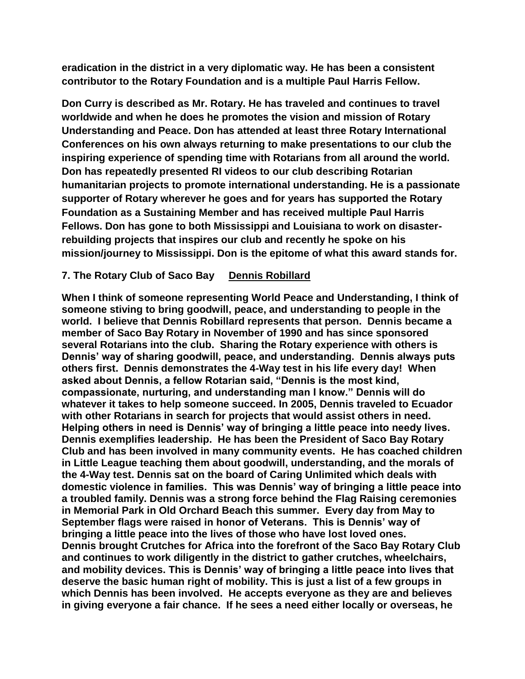**eradication in the district in a very diplomatic way. He has been a consistent contributor to the Rotary Foundation and is a multiple Paul Harris Fellow.**

**Don Curry is described as Mr. Rotary. He has traveled and continues to travel worldwide and when he does he promotes the vision and mission of Rotary Understanding and Peace. Don has attended at least three Rotary International Conferences on his own always returning to make presentations to our club the inspiring experience of spending time with Rotarians from all around the world. Don has repeatedly presented RI videos to our club describing Rotarian humanitarian projects to promote international understanding. He is a passionate supporter of Rotary wherever he goes and for years has supported the Rotary Foundation as a Sustaining Member and has received multiple Paul Harris Fellows. Don has gone to both Mississippi and Louisiana to work on disasterrebuilding projects that inspires our club and recently he spoke on his mission/journey to Mississippi. Don is the epitome of what this award stands for.** 

#### **7. The Rotary Club of Saco Bay Dennis Robillard**

**When I think of someone representing World Peace and Understanding, I think of someone stiving to bring goodwill, peace, and understanding to people in the world. I believe that Dennis Robillard represents that person. Dennis became a member of Saco Bay Rotary in November of 1990 and has since sponsored several Rotarians into the club. Sharing the Rotary experience with others is Dennis' way of sharing goodwill, peace, and understanding. Dennis always puts others first. Dennis demonstrates the 4-Way test in his life every day! When asked about Dennis, a fellow Rotarian said, "Dennis is the most kind, compassionate, nurturing, and understanding man I know." Dennis will do whatever it takes to help someone succeed. In 2005, Dennis traveled to Ecuador with other Rotarians in search for projects that would assist others in need. Helping others in need is Dennis' way of bringing a little peace into needy lives. Dennis exemplifies leadership. He has been the President of Saco Bay Rotary Club and has been involved in many community events. He has coached children in Little League teaching them about goodwill, understanding, and the morals of the 4-Way test. Dennis sat on the board of Caring Unlimited which deals with domestic violence in families. This was Dennis' way of bringing a little peace into a troubled family. Dennis was a strong force behind the Flag Raising ceremonies in Memorial Park in Old Orchard Beach this summer. Every day from May to September flags were raised in honor of Veterans. This is Dennis' way of bringing a little peace into the lives of those who have lost loved ones. Dennis brought Crutches for Africa into the forefront of the Saco Bay Rotary Club and continues to work diligently in the district to gather crutches, wheelchairs, and mobility devices. This is Dennis' way of bringing a little peace into lives that deserve the basic human right of mobility. This is just a list of a few groups in which Dennis has been involved. He accepts everyone as they are and believes in giving everyone a fair chance. If he sees a need either locally or overseas, he**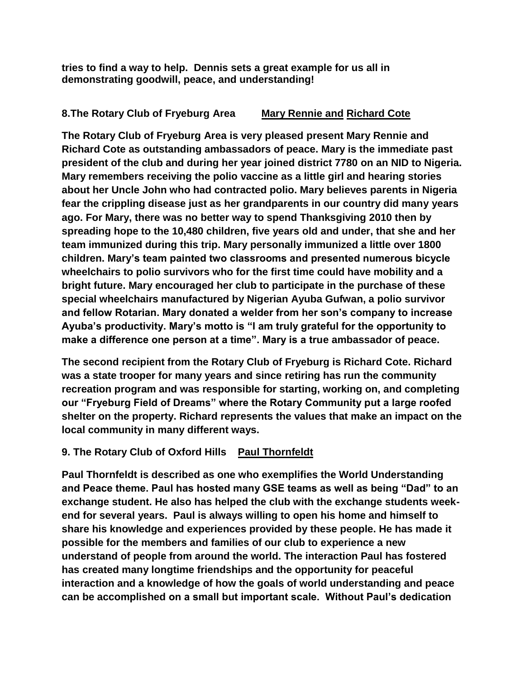**tries to find a way to help. Dennis sets a great example for us all in demonstrating goodwill, peace, and understanding!**

## **8.The Rotary Club of Fryeburg Area Mary Rennie and Richard Cote**

**The Rotary Club of Fryeburg Area is very pleased present Mary Rennie and Richard Cote as outstanding ambassadors of peace. Mary is the immediate past president of the club and during her year joined district 7780 on an NID to Nigeria. Mary remembers receiving the polio vaccine as a little girl and hearing stories about her Uncle John who had contracted polio. Mary believes parents in Nigeria fear the crippling disease just as her grandparents in our country did many years ago. For Mary, there was no better way to spend Thanksgiving 2010 then by spreading hope to the 10,480 children, five years old and under, that she and her team immunized during this trip. Mary personally immunized a little over 1800 children. Mary's team painted two classrooms and presented numerous bicycle wheelchairs to polio survivors who for the first time could have mobility and a bright future. Mary encouraged her club to participate in the purchase of these special wheelchairs manufactured by Nigerian Ayuba Gufwan, a polio survivor and fellow Rotarian. Mary donated a welder from her son's company to increase Ayuba's productivity. Mary's motto is "I am truly grateful for the opportunity to make a difference one person at a time". Mary is a true ambassador of peace.** 

**The second recipient from the Rotary Club of Fryeburg is Richard Cote. Richard was a state trooper for many years and since retiring has run the community recreation program and was responsible for starting, working on, and completing our "Fryeburg Field of Dreams" where the Rotary Community put a large roofed shelter on the property. Richard represents the values that make an impact on the local community in many different ways.** 

# **9. The Rotary Club of Oxford Hills Paul Thornfeldt**

**Paul Thornfeldt is described as one who exemplifies the World Understanding and Peace theme. Paul has hosted many GSE teams as well as being "Dad" to an exchange student. He also has helped the club with the exchange students weekend for several years. Paul is always willing to open his home and himself to share his knowledge and experiences provided by these people. He has made it possible for the members and families of our club to experience a new understand of people from around the world. The interaction Paul has fostered has created many longtime friendships and the opportunity for peaceful interaction and a knowledge of how the goals of world understanding and peace can be accomplished on a small but important scale. Without Paul's dedication**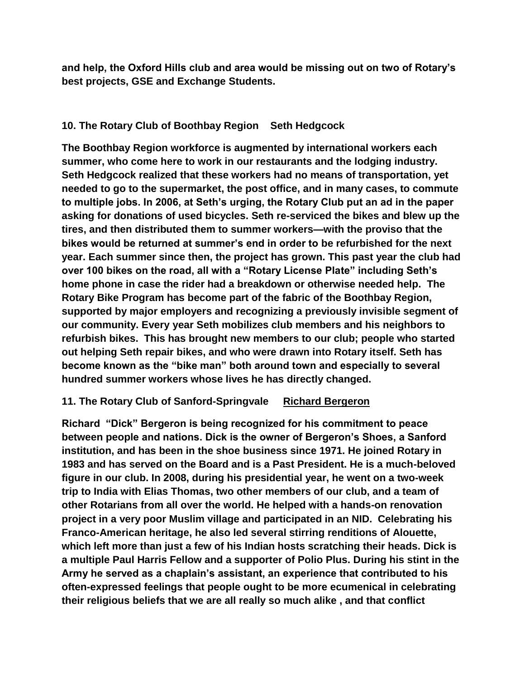**and help, the Oxford Hills club and area would be missing out on two of Rotary's best projects, GSE and Exchange Students.** 

# **10. The Rotary Club of Boothbay Region Seth Hedgcock**

**The Boothbay Region workforce is augmented by international workers each summer, who come here to work in our restaurants and the lodging industry. Seth Hedgcock realized that these workers had no means of transportation, yet needed to go to the supermarket, the post office, and in many cases, to commute to multiple jobs. In 2006, at Seth's urging, the Rotary Club put an ad in the paper asking for donations of used bicycles. Seth re-serviced the bikes and blew up the tires, and then distributed them to summer workers—with the proviso that the bikes would be returned at summer's end in order to be refurbished for the next year. Each summer since then, the project has grown. This past year the club had over 100 bikes on the road, all with a "Rotary License Plate" including Seth's home phone in case the rider had a breakdown or otherwise needed help. The Rotary Bike Program has become part of the fabric of the Boothbay Region, supported by major employers and recognizing a previously invisible segment of our community. Every year Seth mobilizes club members and his neighbors to refurbish bikes. This has brought new members to our club; people who started out helping Seth repair bikes, and who were drawn into Rotary itself. Seth has become known as the "bike man" both around town and especially to several hundred summer workers whose lives he has directly changed.**

### **11. The Rotary Club of Sanford-Springvale Richard Bergeron**

**Richard "Dick" Bergeron is being recognized for his commitment to peace between people and nations. Dick is the owner of Bergeron's Shoes, a Sanford institution, and has been in the shoe business since 1971. He joined Rotary in 1983 and has served on the Board and is a Past President. He is a much-beloved figure in our club. In 2008, during his presidential year, he went on a two-week trip to India with Elias Thomas, two other members of our club, and a team of other Rotarians from all over the world. He helped with a hands-on renovation project in a very poor Muslim village and participated in an NID. Celebrating his Franco-American heritage, he also led several stirring renditions of Alouette, which left more than just a few of his Indian hosts scratching their heads. Dick is a multiple Paul Harris Fellow and a supporter of Polio Plus. During his stint in the Army he served as a chaplain's assistant, an experience that contributed to his often-expressed feelings that people ought to be more ecumenical in celebrating their religious beliefs that we are all really so much alike , and that conflict**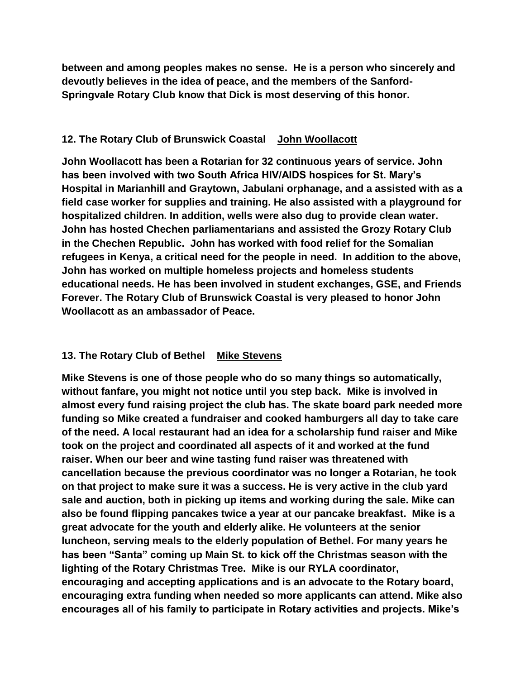**between and among peoples makes no sense. He is a person who sincerely and devoutly believes in the idea of peace, and the members of the Sanford-Springvale Rotary Club know that Dick is most deserving of this honor.** 

### **12. The Rotary Club of Brunswick Coastal John Woollacott**

**John Woollacott has been a Rotarian for 32 continuous years of service. John has been involved with two South Africa HIV/AIDS hospices for St. Mary's Hospital in Marianhill and Graytown, Jabulani orphanage, and a assisted with as a field case worker for supplies and training. He also assisted with a playground for hospitalized children. In addition, wells were also dug to provide clean water. John has hosted Chechen parliamentarians and assisted the Grozy Rotary Club in the Chechen Republic. John has worked with food relief for the Somalian refugees in Kenya, a critical need for the people in need. In addition to the above, John has worked on multiple homeless projects and homeless students educational needs. He has been involved in student exchanges, GSE, and Friends Forever. The Rotary Club of Brunswick Coastal is very pleased to honor John Woollacott as an ambassador of Peace.** 

# **13. The Rotary Club of Bethel Mike Stevens**

**Mike Stevens is one of those people who do so many things so automatically, without fanfare, you might not notice until you step back. Mike is involved in almost every fund raising project the club has. The skate board park needed more funding so Mike created a fundraiser and cooked hamburgers all day to take care of the need. A local restaurant had an idea for a scholarship fund raiser and Mike took on the project and coordinated all aspects of it and worked at the fund raiser. When our beer and wine tasting fund raiser was threatened with cancellation because the previous coordinator was no longer a Rotarian, he took on that project to make sure it was a success. He is very active in the club yard sale and auction, both in picking up items and working during the sale. Mike can also be found flipping pancakes twice a year at our pancake breakfast. Mike is a great advocate for the youth and elderly alike. He volunteers at the senior luncheon, serving meals to the elderly population of Bethel. For many years he has been "Santa" coming up Main St. to kick off the Christmas season with the lighting of the Rotary Christmas Tree. Mike is our RYLA coordinator, encouraging and accepting applications and is an advocate to the Rotary board, encouraging extra funding when needed so more applicants can attend. Mike also encourages all of his family to participate in Rotary activities and projects. Mike's**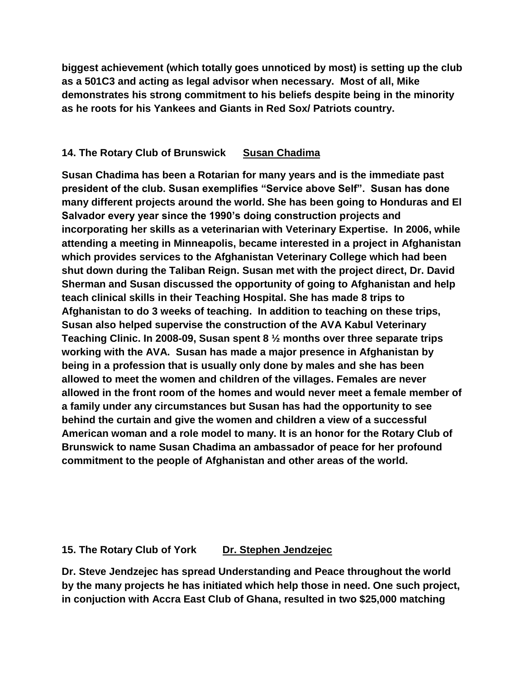**biggest achievement (which totally goes unnoticed by most) is setting up the club as a 501C3 and acting as legal advisor when necessary. Most of all, Mike demonstrates his strong commitment to his beliefs despite being in the minority as he roots for his Yankees and Giants in Red Sox/ Patriots country.** 

### **14. The Rotary Club of Brunswick Susan Chadima**

**Susan Chadima has been a Rotarian for many years and is the immediate past president of the club. Susan exemplifies "Service above Self". Susan has done many different projects around the world. She has been going to Honduras and El Salvador every year since the 1990's doing construction projects and incorporating her skills as a veterinarian with Veterinary Expertise. In 2006, while attending a meeting in Minneapolis, became interested in a project in Afghanistan which provides services to the Afghanistan Veterinary College which had been shut down during the Taliban Reign. Susan met with the project direct, Dr. David Sherman and Susan discussed the opportunity of going to Afghanistan and help teach clinical skills in their Teaching Hospital. She has made 8 trips to Afghanistan to do 3 weeks of teaching. In addition to teaching on these trips, Susan also helped supervise the construction of the AVA Kabul Veterinary Teaching Clinic. In 2008-09, Susan spent 8 ½ months over three separate trips working with the AVA. Susan has made a major presence in Afghanistan by being in a profession that is usually only done by males and she has been allowed to meet the women and children of the villages. Females are never allowed in the front room of the homes and would never meet a female member of a family under any circumstances but Susan has had the opportunity to see behind the curtain and give the women and children a view of a successful American woman and a role model to many. It is an honor for the Rotary Club of Brunswick to name Susan Chadima an ambassador of peace for her profound commitment to the people of Afghanistan and other areas of the world.** 

### **15. The Rotary Club of York Dr. Stephen Jendzejec**

**Dr. Steve Jendzejec has spread Understanding and Peace throughout the world by the many projects he has initiated which help those in need. One such project, in conjuction with Accra East Club of Ghana, resulted in two \$25,000 matching**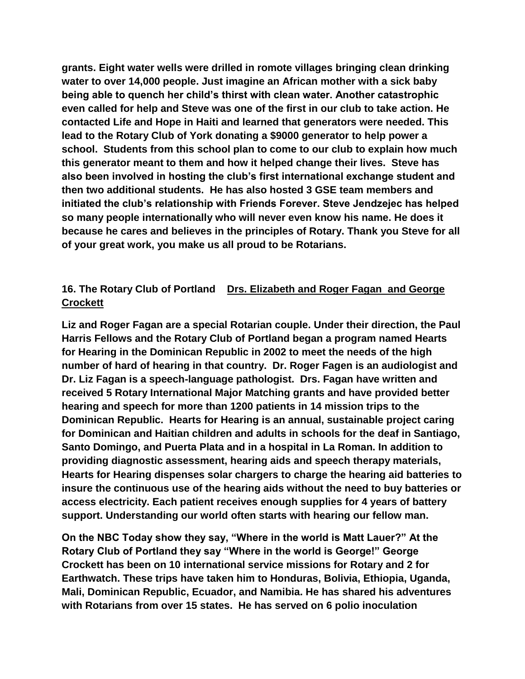**grants. Eight water wells were drilled in romote villages bringing clean drinking water to over 14,000 people. Just imagine an African mother with a sick baby being able to quench her child's thirst with clean water. Another catastrophic even called for help and Steve was one of the first in our club to take action. He contacted Life and Hope in Haiti and learned that generators were needed. This lead to the Rotary Club of York donating a \$9000 generator to help power a school. Students from this school plan to come to our club to explain how much this generator meant to them and how it helped change their lives. Steve has also been involved in hosting the club's first international exchange student and then two additional students. He has also hosted 3 GSE team members and initiated the club's relationship with Friends Forever. Steve Jendzejec has helped so many people internationally who will never even know his name. He does it because he cares and believes in the principles of Rotary. Thank you Steve for all of your great work, you make us all proud to be Rotarians.** 

# **16. The Rotary Club of Portland Drs. Elizabeth and Roger Fagan and George Crockett**

**Liz and Roger Fagan are a special Rotarian couple. Under their direction, the Paul Harris Fellows and the Rotary Club of Portland began a program named Hearts for Hearing in the Dominican Republic in 2002 to meet the needs of the high number of hard of hearing in that country. Dr. Roger Fagen is an audiologist and Dr. Liz Fagan is a speech-language pathologist. Drs. Fagan have written and received 5 Rotary International Major Matching grants and have provided better hearing and speech for more than 1200 patients in 14 mission trips to the Dominican Republic. Hearts for Hearing is an annual, sustainable project caring for Dominican and Haitian children and adults in schools for the deaf in Santiago, Santo Domingo, and Puerta Plata and in a hospital in La Roman. In addition to providing diagnostic assessment, hearing aids and speech therapy materials, Hearts for Hearing dispenses solar chargers to charge the hearing aid batteries to insure the continuous use of the hearing aids without the need to buy batteries or access electricity. Each patient receives enough supplies for 4 years of battery support. Understanding our world often starts with hearing our fellow man.** 

**On the NBC Today show they say, "Where in the world is Matt Lauer?" At the Rotary Club of Portland they say "Where in the world is George!" George Crockett has been on 10 international service missions for Rotary and 2 for Earthwatch. These trips have taken him to Honduras, Bolivia, Ethiopia, Uganda, Mali, Dominican Republic, Ecuador, and Namibia. He has shared his adventures with Rotarians from over 15 states. He has served on 6 polio inoculation**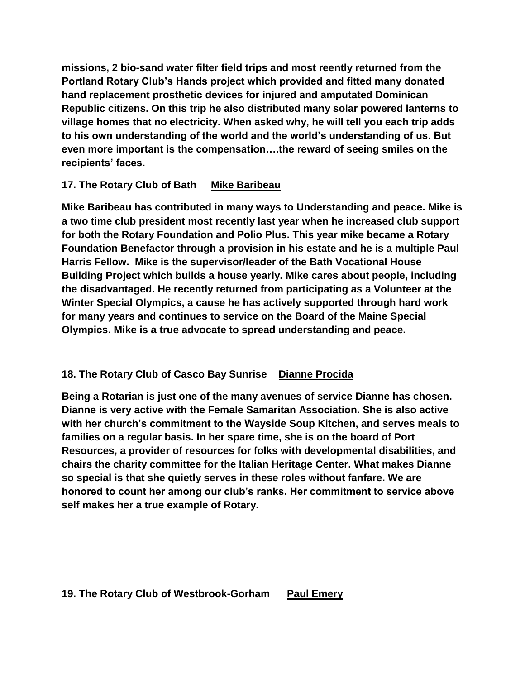**missions, 2 bio-sand water filter field trips and most reently returned from the Portland Rotary Club's Hands project which provided and fitted many donated hand replacement prosthetic devices for injured and amputated Dominican Republic citizens. On this trip he also distributed many solar powered lanterns to village homes that no electricity. When asked why, he will tell you each trip adds to his own understanding of the world and the world's understanding of us. But even more important is the compensation….the reward of seeing smiles on the recipients' faces.** 

## **17. The Rotary Club of Bath Mike Baribeau**

**Mike Baribeau has contributed in many ways to Understanding and peace. Mike is a two time club president most recently last year when he increased club support for both the Rotary Foundation and Polio Plus. This year mike became a Rotary Foundation Benefactor through a provision in his estate and he is a multiple Paul Harris Fellow. Mike is the supervisor/leader of the Bath Vocational House Building Project which builds a house yearly. Mike cares about people, including the disadvantaged. He recently returned from participating as a Volunteer at the Winter Special Olympics, a cause he has actively supported through hard work for many years and continues to service on the Board of the Maine Special Olympics. Mike is a true advocate to spread understanding and peace.** 

# **18. The Rotary Club of Casco Bay Sunrise Dianne Procida**

**Being a Rotarian is just one of the many avenues of service Dianne has chosen. Dianne is very active with the Female Samaritan Association. She is also active with her church's commitment to the Wayside Soup Kitchen, and serves meals to families on a regular basis. In her spare time, she is on the board of Port Resources, a provider of resources for folks with developmental disabilities, and chairs the charity committee for the Italian Heritage Center. What makes Dianne so special is that she quietly serves in these roles without fanfare. We are honored to count her among our club's ranks. Her commitment to service above self makes her a true example of Rotary.**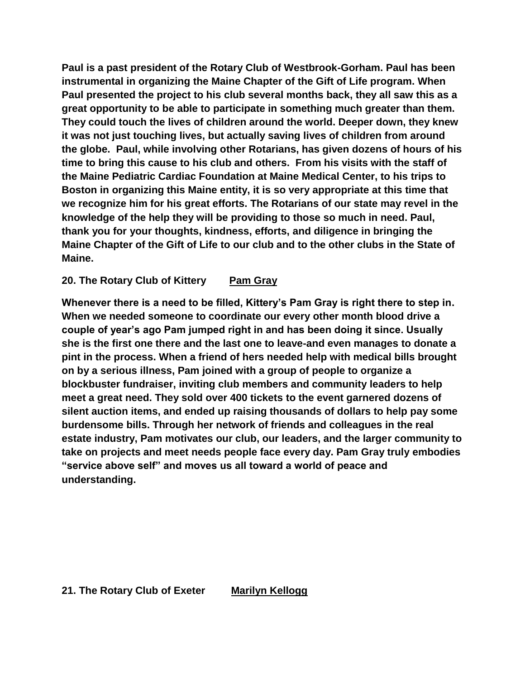**Paul is a past president of the Rotary Club of Westbrook-Gorham. Paul has been instrumental in organizing the Maine Chapter of the Gift of Life program. When Paul presented the project to his club several months back, they all saw this as a great opportunity to be able to participate in something much greater than them. They could touch the lives of children around the world. Deeper down, they knew it was not just touching lives, but actually saving lives of children from around the globe. Paul, while involving other Rotarians, has given dozens of hours of his time to bring this cause to his club and others. From his visits with the staff of the Maine Pediatric Cardiac Foundation at Maine Medical Center, to his trips to Boston in organizing this Maine entity, it is so very appropriate at this time that we recognize him for his great efforts. The Rotarians of our state may revel in the knowledge of the help they will be providing to those so much in need. Paul, thank you for your thoughts, kindness, efforts, and diligence in bringing the Maine Chapter of the Gift of Life to our club and to the other clubs in the State of Maine.** 

#### 20. The Rotary Club of Kittery Pam Gray

**Whenever there is a need to be filled, Kittery's Pam Gray is right there to step in. When we needed someone to coordinate our every other month blood drive a couple of year's ago Pam jumped right in and has been doing it since. Usually she is the first one there and the last one to leave-and even manages to donate a pint in the process. When a friend of hers needed help with medical bills brought on by a serious illness, Pam joined with a group of people to organize a blockbuster fundraiser, inviting club members and community leaders to help meet a great need. They sold over 400 tickets to the event garnered dozens of silent auction items, and ended up raising thousands of dollars to help pay some burdensome bills. Through her network of friends and colleagues in the real estate industry, Pam motivates our club, our leaders, and the larger community to take on projects and meet needs people face every day. Pam Gray truly embodies "service above self" and moves us all toward a world of peace and understanding.** 

#### **21. The Rotary Club of Exeter Marilyn Kellogg**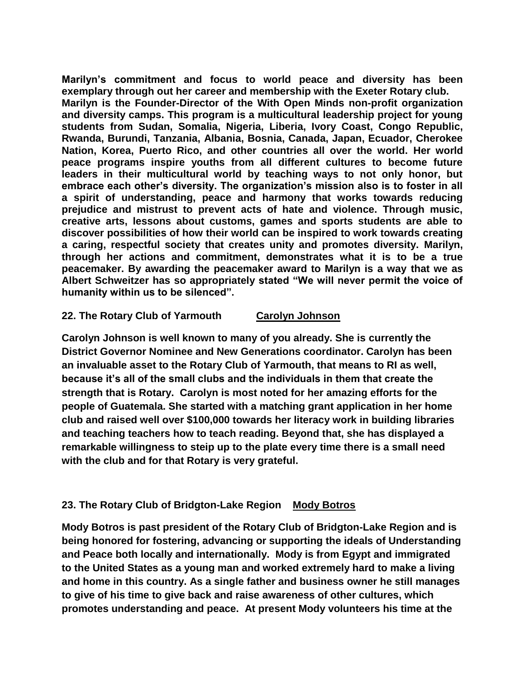**Marilyn's commitment and focus to world peace and diversity has been exemplary through out her career and membership with the Exeter Rotary club. Marilyn is the Founder-Director of the With Open Minds non-profit organization and diversity camps. This program is a multicultural leadership project for young students from Sudan, Somalia, Nigeria, Liberia, Ivory Coast, Congo Republic, Rwanda, Burundi, Tanzania, Albania, Bosnia, Canada, Japan, Ecuador, Cherokee Nation, Korea, Puerto Rico, and other countries all over the world. Her world peace programs inspire youths from all different cultures to become future leaders in their multicultural world by teaching ways to not only honor, but embrace each other's diversity. The organization's mission also is to foster in all a spirit of understanding, peace and harmony that works towards reducing prejudice and mistrust to prevent acts of hate and violence. Through music, creative arts, lessons about customs, games and sports students are able to discover possibilities of how their world can be inspired to work towards creating a caring, respectful society that creates unity and promotes diversity. Marilyn, through her actions and commitment, demonstrates what it is to be a true peacemaker. By awarding the peacemaker award to Marilyn is a way that we as Albert Schweitzer has so appropriately stated "We will never permit the voice of humanity within us to be silenced".**

#### **22. The Rotary Club of Yarmouth Carolyn Johnson**

**Carolyn Johnson is well known to many of you already. She is currently the District Governor Nominee and New Generations coordinator. Carolyn has been an invaluable asset to the Rotary Club of Yarmouth, that means to RI as well, because it's all of the small clubs and the individuals in them that create the strength that is Rotary. Carolyn is most noted for her amazing efforts for the people of Guatemala. She started with a matching grant application in her home club and raised well over \$100,000 towards her literacy work in building libraries and teaching teachers how to teach reading. Beyond that, she has displayed a remarkable willingness to steip up to the plate every time there is a small need with the club and for that Rotary is very grateful.** 

### **23. The Rotary Club of Bridgton-Lake Region Mody Botros**

**Mody Botros is past president of the Rotary Club of Bridgton-Lake Region and is being honored for fostering, advancing or supporting the ideals of Understanding and Peace both locally and internationally. Mody is from Egypt and immigrated to the United States as a young man and worked extremely hard to make a living and home in this country. As a single father and business owner he still manages to give of his time to give back and raise awareness of other cultures, which promotes understanding and peace. At present Mody volunteers his time at the**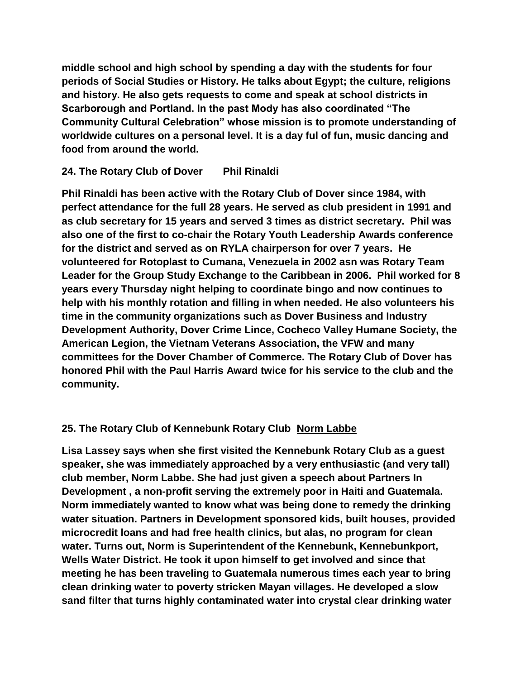**middle school and high school by spending a day with the students for four periods of Social Studies or History. He talks about Egypt; the culture, religions and history. He also gets requests to come and speak at school districts in Scarborough and Portland. In the past Mody has also coordinated "The Community Cultural Celebration" whose mission is to promote understanding of worldwide cultures on a personal level. It is a day ful of fun, music dancing and food from around the world.** 

### **24. The Rotary Club of Dover Phil Rinaldi**

**Phil Rinaldi has been active with the Rotary Club of Dover since 1984, with perfect attendance for the full 28 years. He served as club president in 1991 and as club secretary for 15 years and served 3 times as district secretary. Phil was also one of the first to co-chair the Rotary Youth Leadership Awards conference for the district and served as on RYLA chairperson for over 7 years. He volunteered for Rotoplast to Cumana, Venezuela in 2002 asn was Rotary Team Leader for the Group Study Exchange to the Caribbean in 2006. Phil worked for 8 years every Thursday night helping to coordinate bingo and now continues to help with his monthly rotation and filling in when needed. He also volunteers his time in the community organizations such as Dover Business and Industry Development Authority, Dover Crime Lince, Cocheco Valley Humane Society, the American Legion, the Vietnam Veterans Association, the VFW and many committees for the Dover Chamber of Commerce. The Rotary Club of Dover has honored Phil with the Paul Harris Award twice for his service to the club and the community.** 

# **25. The Rotary Club of Kennebunk Rotary Club Norm Labbe**

**Lisa Lassey says when she first visited the Kennebunk Rotary Club as a guest speaker, she was immediately approached by a very enthusiastic (and very tall) club member, Norm Labbe. She had just given a speech about Partners In Development , a non-profit serving the extremely poor in Haiti and Guatemala. Norm immediately wanted to know what was being done to remedy the drinking water situation. Partners in Development sponsored kids, built houses, provided microcredit loans and had free health clinics, but alas, no program for clean water. Turns out, Norm is Superintendent of the Kennebunk, Kennebunkport, Wells Water District. He took it upon himself to get involved and since that meeting he has been traveling to Guatemala numerous times each year to bring clean drinking water to poverty stricken Mayan villages. He developed a slow sand filter that turns highly contaminated water into crystal clear drinking water**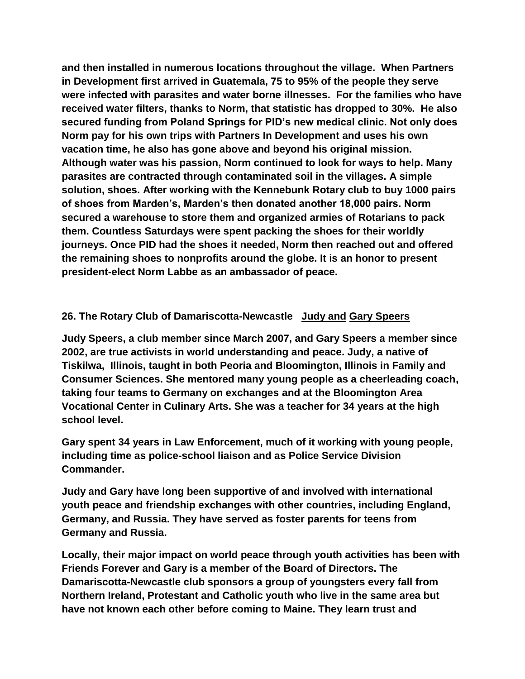**and then installed in numerous locations throughout the village. When Partners in Development first arrived in Guatemala, 75 to 95% of the people they serve were infected with parasites and water borne illnesses. For the families who have received water filters, thanks to Norm, that statistic has dropped to 30%. He also secured funding from Poland Springs for PID's new medical clinic. Not only does Norm pay for his own trips with Partners In Development and uses his own vacation time, he also has gone above and beyond his original mission. Although water was his passion, Norm continued to look for ways to help. Many parasites are contracted through contaminated soil in the villages. A simple solution, shoes. After working with the Kennebunk Rotary club to buy 1000 pairs of shoes from Marden's, Marden's then donated another 18,000 pairs. Norm secured a warehouse to store them and organized armies of Rotarians to pack them. Countless Saturdays were spent packing the shoes for their worldly journeys. Once PID had the shoes it needed, Norm then reached out and offered the remaining shoes to nonprofits around the globe. It is an honor to present president-elect Norm Labbe as an ambassador of peace.** 

### **26. The Rotary Club of Damariscotta-Newcastle Judy and Gary Speers**

**Judy Speers, a club member since March 2007, and Gary Speers a member since 2002, are true activists in world understanding and peace. Judy, a native of Tiskilwa, Illinois, taught in both Peoria and Bloomington, Illinois in Family and Consumer Sciences. She mentored many young people as a cheerleading coach, taking four teams to Germany on exchanges and at the Bloomington Area Vocational Center in Culinary Arts. She was a teacher for 34 years at the high school level.**

**Gary spent 34 years in Law Enforcement, much of it working with young people, including time as police-school liaison and as Police Service Division Commander.**

**Judy and Gary have long been supportive of and involved with international youth peace and friendship exchanges with other countries, including England, Germany, and Russia. They have served as foster parents for teens from Germany and Russia.**

**Locally, their major impact on world peace through youth activities has been with Friends Forever and Gary is a member of the Board of Directors. The Damariscotta-Newcastle club sponsors a group of youngsters every fall from Northern Ireland, Protestant and Catholic youth who live in the same area but have not known each other before coming to Maine. They learn trust and**